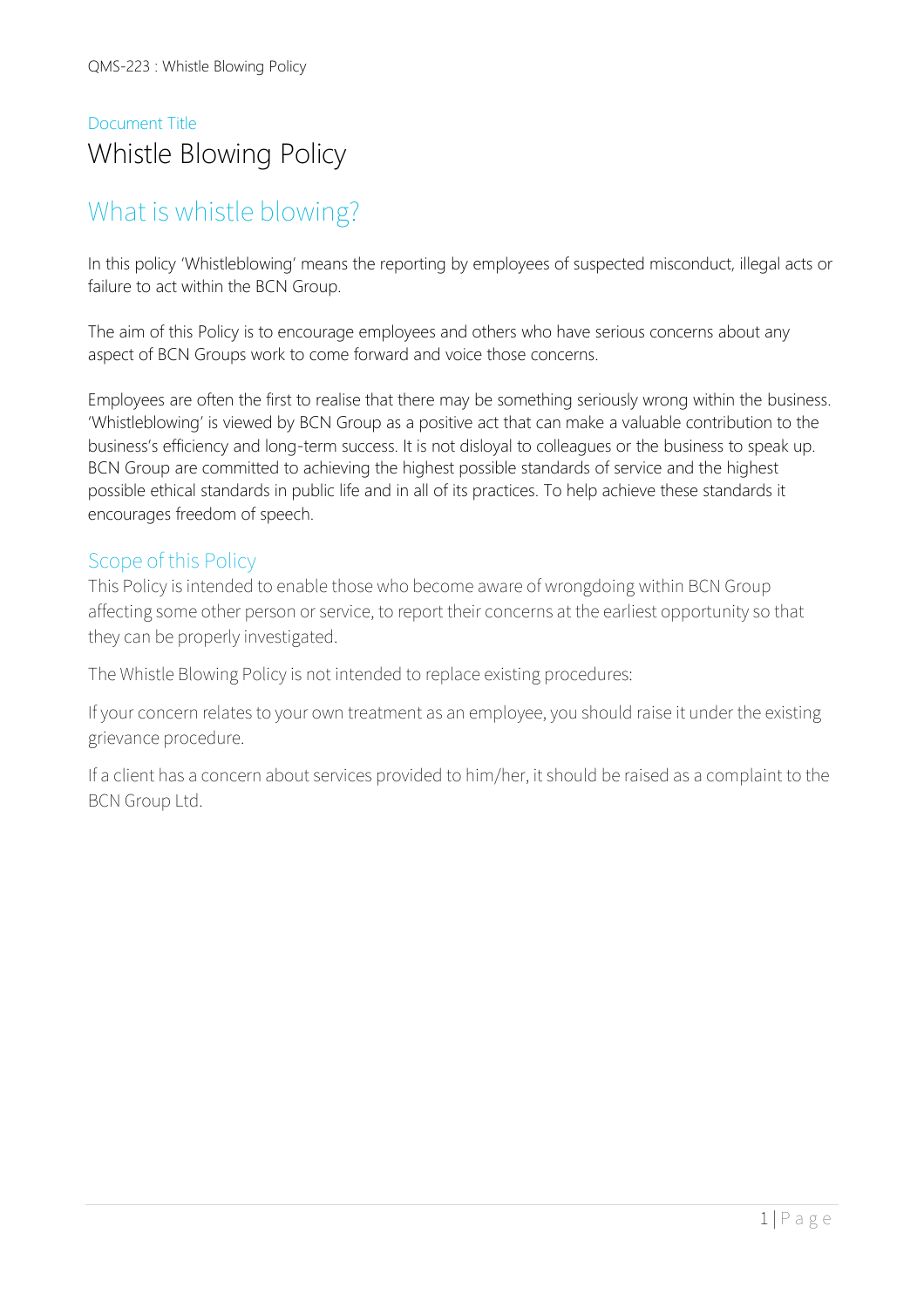# Document Title Whistle Blowing Policy

# What is whistle blowing?

In this policy 'Whistleblowing' means the reporting by employees of suspected misconduct, illegal acts or failure to act within the BCN Group.

The aim of this Policy is to encourage employees and others who have serious concerns about any aspect of BCN Groups work to come forward and voice those concerns.

Employees are often the first to realise that there may be something seriously wrong within the business. 'Whistleblowing' is viewed by BCN Group as a positive act that can make a valuable contribution to the business's efficiency and long-term success. It is not disloyal to colleagues or the business to speak up. BCN Group are committed to achieving the highest possible standards of service and the highest possible ethical standards in public life and in all of its practices. To help achieve these standards it encourages freedom of speech.

### Scope of this Policy

This Policy is intended to enable those who become aware of wrongdoing within BCN Group affecting some other person or service, to report their concerns at the earliest opportunity so that they can be properly investigated.

The Whistle Blowing Policy is not intended to replace existing procedures:

If your concern relates to your own treatment as an employee, you should raise it under the existing grievance procedure.

If a client has a concern about services provided to him/her, it should be raised as a complaint to the BCN Group Ltd.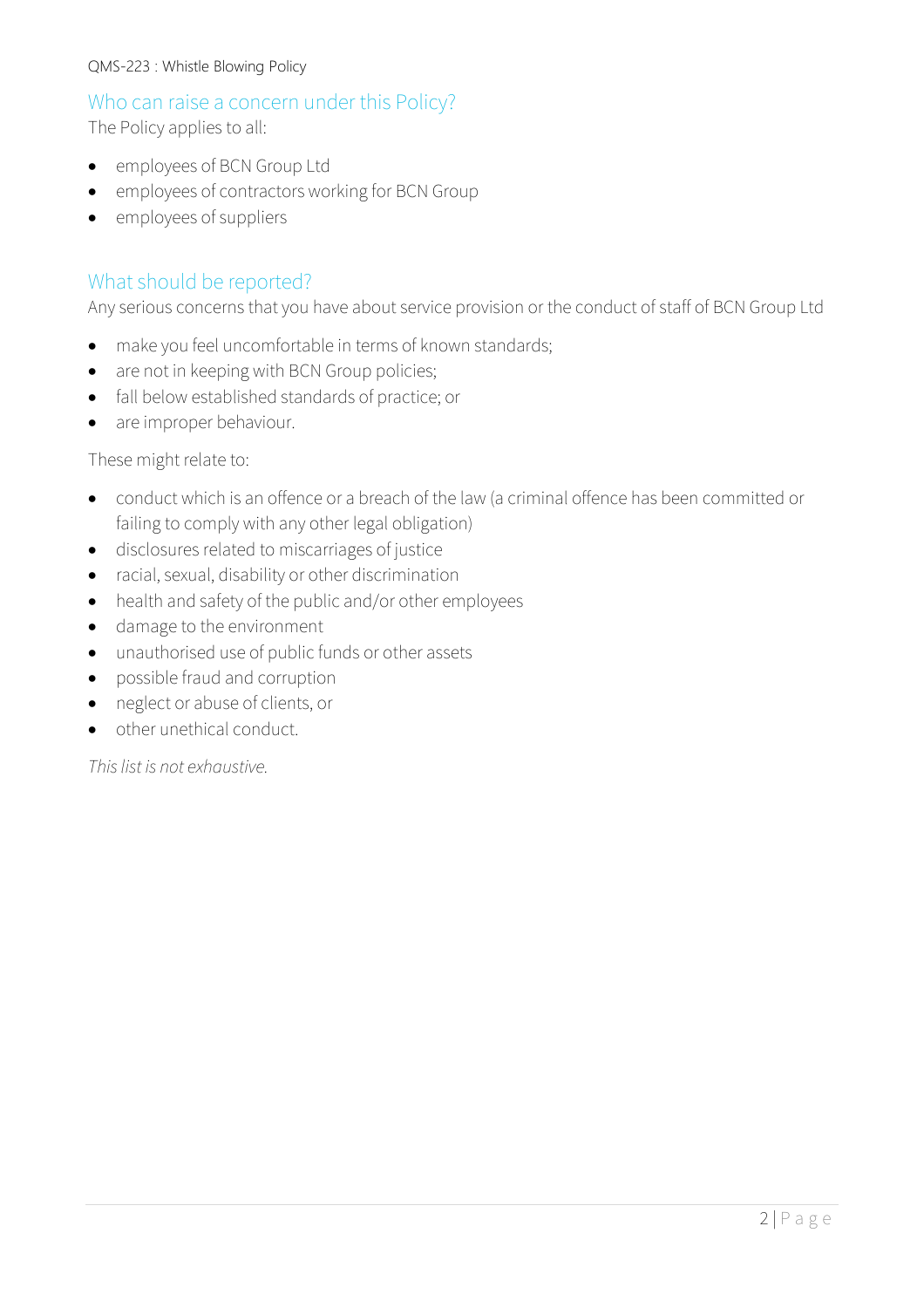### Who can raise a concern under this Policy?

The Policy applies to all:

- employees of BCN Group Ltd
- employees of contractors working for BCN Group
- employees of suppliers

### What should be reported?

Any serious concerns that you have about service provision or the conduct of staff of BCN Group Ltd

- make you feel uncomfortable in terms of known standards;
- are not in keeping with BCN Group policies;
- fall below established standards of practice; or
- are improper behaviour.

#### These might relate to:

- conduct which is an offence or a breach of the law (a criminal offence has been committed or failing to comply with any other legal obligation)
- disclosures related to miscarriages of justice
- racial, sexual, disability or other discrimination
- health and safety of the public and/or other employees
- damage to the environment
- unauthorised use of public funds or other assets
- possible fraud and corruption
- neglect or abuse of clients, or
- other unethical conduct.

*This list is not exhaustive.*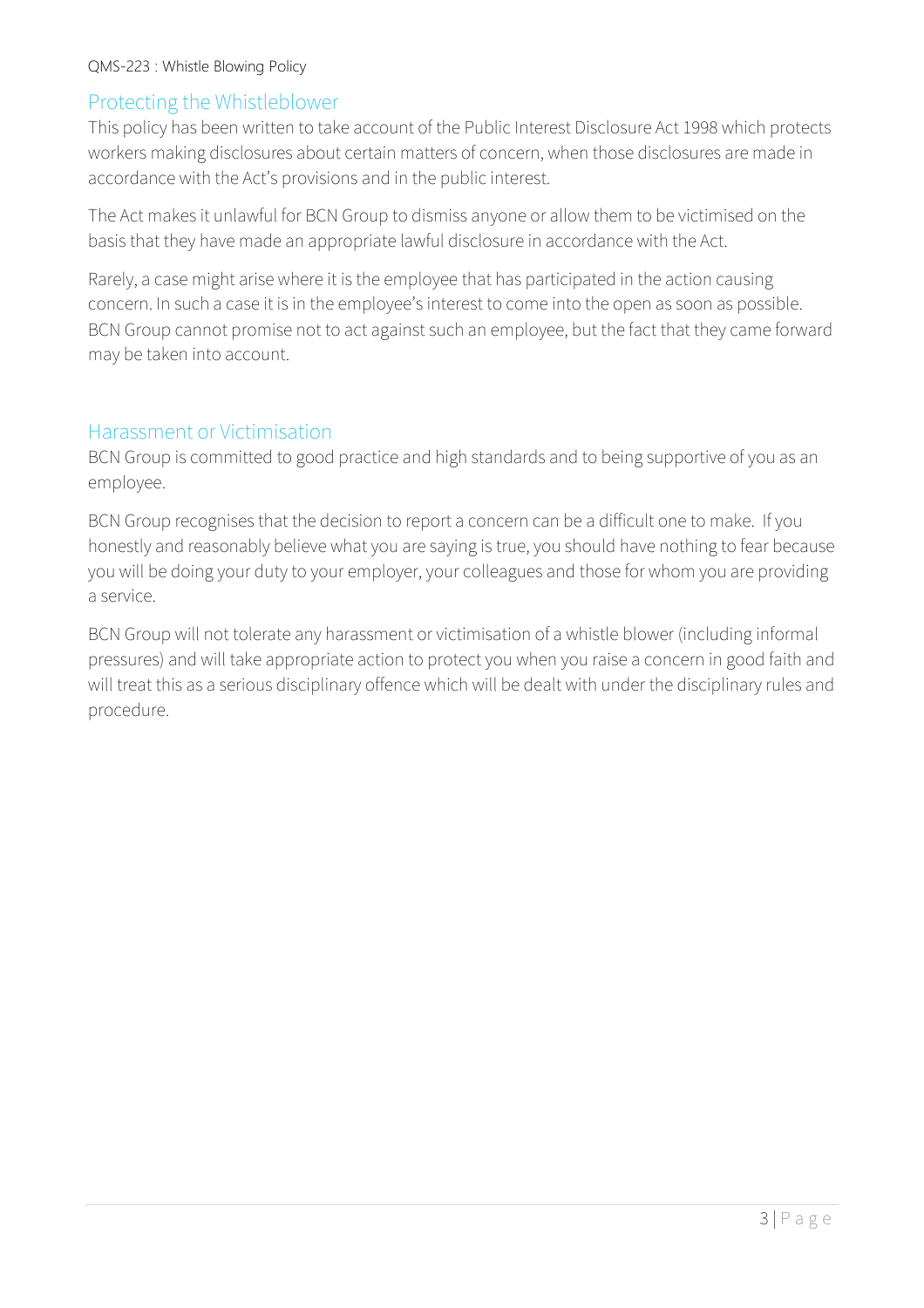### Protecting the Whistleblower

This policy has been written to take account of the Public Interest Disclosure Act 1998 which protects workers making disclosures about certain matters of concern, when those disclosures are made in accordance with the Act's provisions and in the public interest.

The Act makes it unlawful for BCN Group to dismiss anyone or allow them to be victimised on the basis that they have made an appropriate lawful disclosure in accordance with the Act.

Rarely, a case might arise where it is the employee that has participated in the action causing concern. In such a case it is in the employee's interest to come into the open as soon as possible. BCN Group cannot promise not to act against such an employee, but the fact that they came forward may be taken into account.

#### Harassment or Victimisation

BCN Group is committed to good practice and high standards and to being supportive of you as an employee.

BCN Group recognises that the decision to report a concern can be a difficult one to make. If you honestly and reasonably believe what you are saying is true, you should have nothing to fear because you will be doing your duty to your employer, your colleagues and those for whom you are providing a service.

BCN Group will not tolerate any harassment or victimisation of a whistle blower (including informal pressures) and will take appropriate action to protect you when you raise a concern in good faith and will treat this as a serious disciplinary offence which will be dealt with under the disciplinary rules and procedure.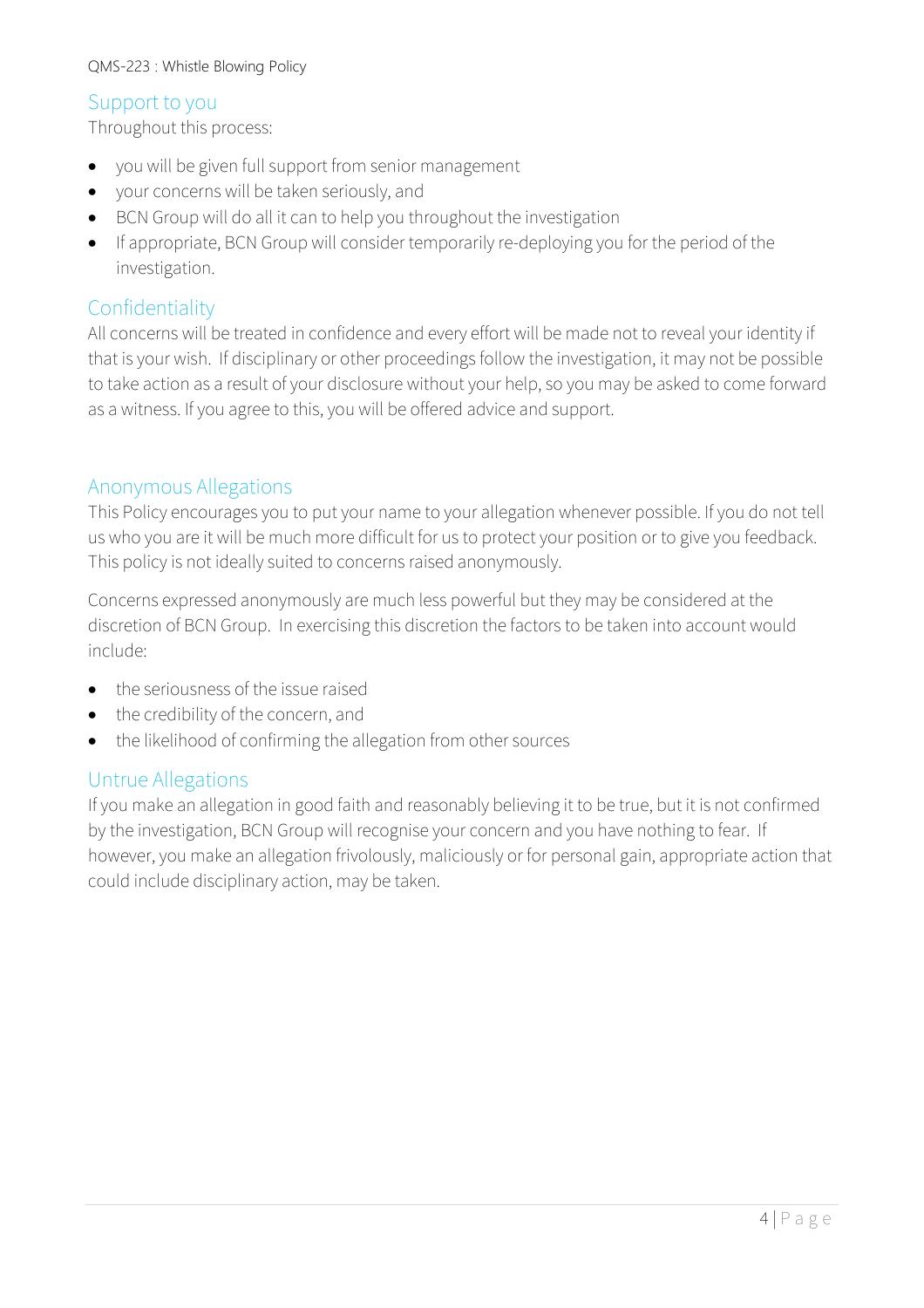### Support to you

Throughout this process:

- you will be given full support from senior management
- your concerns will be taken seriously, and
- BCN Group will do all it can to help you throughout the investigation
- If appropriate, BCN Group will consider temporarily re-deploying you for the period of the investigation.

### Confidentiality

All concerns will be treated in confidence and every effort will be made not to reveal your identity if that is your wish. If disciplinary or other proceedings follow the investigation, it may not be possible to take action as a result of your disclosure without your help, so you may be asked to come forward as a witness. If you agree to this, you will be offered advice and support.

### Anonymous Allegations

This Policy encourages you to put your name to your allegation whenever possible. If you do not tell us who you are it will be much more difficult for us to protect your position or to give you feedback. This policy is not ideally suited to concerns raised anonymously.

Concerns expressed anonymously are much less powerful but they may be considered at the discretion of BCN Group. In exercising this discretion the factors to be taken into account would include:

- the seriousness of the issue raised
- the credibility of the concern, and
- the likelihood of confirming the allegation from other sources

### Untrue Allegations

If you make an allegation in good faith and reasonably believing it to be true, but it is not confirmed by the investigation, BCN Group will recognise your concern and you have nothing to fear. If however, you make an allegation frivolously, maliciously or for personal gain, appropriate action that could include disciplinary action, may be taken.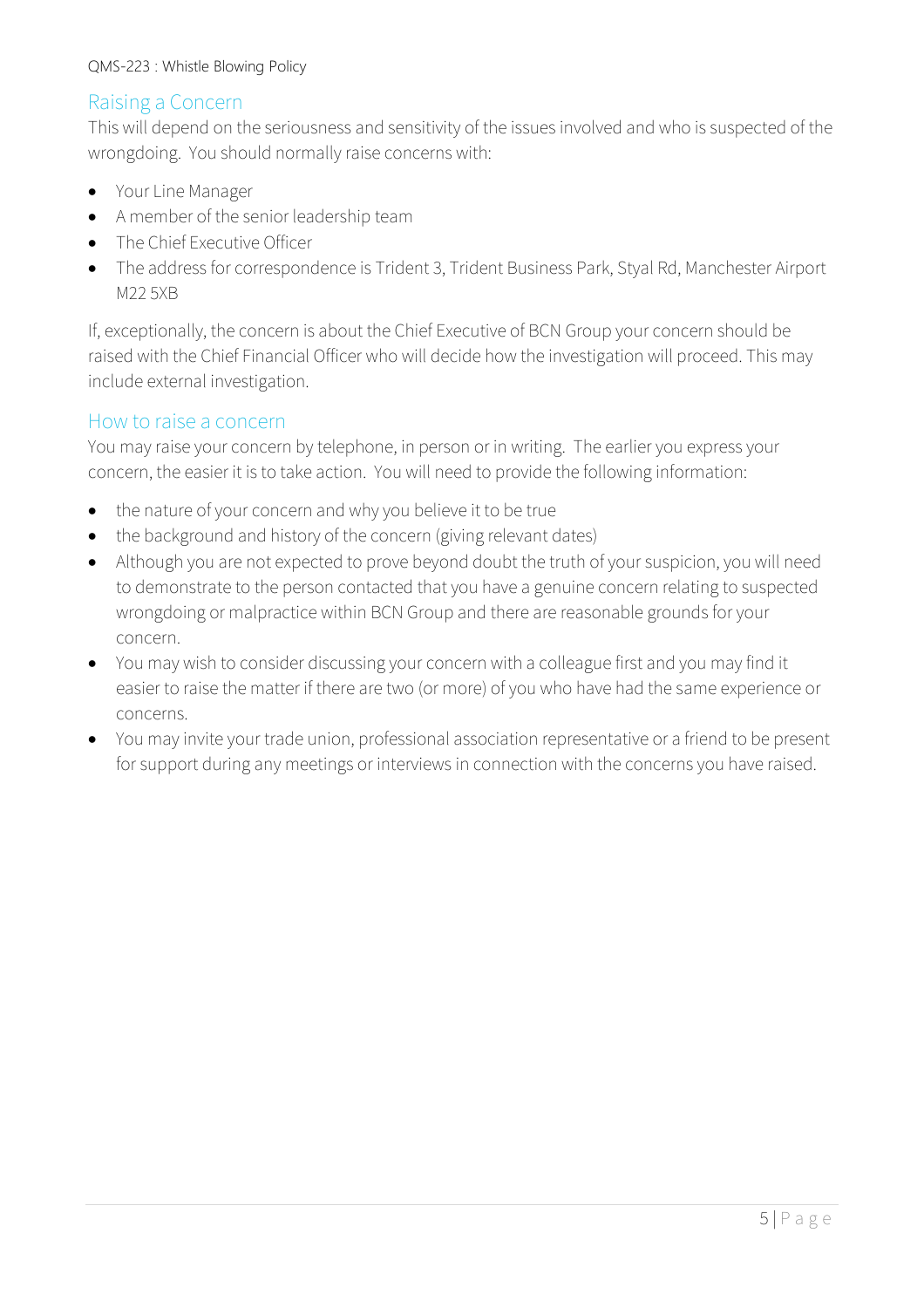### Raising a Concern

This will depend on the seriousness and sensitivity of the issues involved and who is suspected of the wrongdoing. You should normally raise concerns with:

- Your Line Manager
- A member of the senior leadership team
- The Chief Executive Officer
- The address for correspondence is Trident 3, Trident Business Park, Styal Rd, Manchester Airport M22 5XB

If, exceptionally, the concern is about the Chief Executive of BCN Group your concern should be raised with the Chief Financial Officer who will decide how the investigation will proceed. This may include external investigation.

### How to raise a concern

You may raise your concern by telephone, in person or in writing. The earlier you express your concern, the easier it is to take action. You will need to provide the following information:

- the nature of your concern and why you believe it to be true
- the background and history of the concern (giving relevant dates)
- Although you are not expected to prove beyond doubt the truth of your suspicion, you will need to demonstrate to the person contacted that you have a genuine concern relating to suspected wrongdoing or malpractice within BCN Group and there are reasonable grounds for your concern.
- You may wish to consider discussing your concern with a colleague first and you may find it easier to raise the matter if there are two (or more) of you who have had the same experience or concerns.
- You may invite your trade union, professional association representative or a friend to be present for support during any meetings or interviews in connection with the concerns you have raised.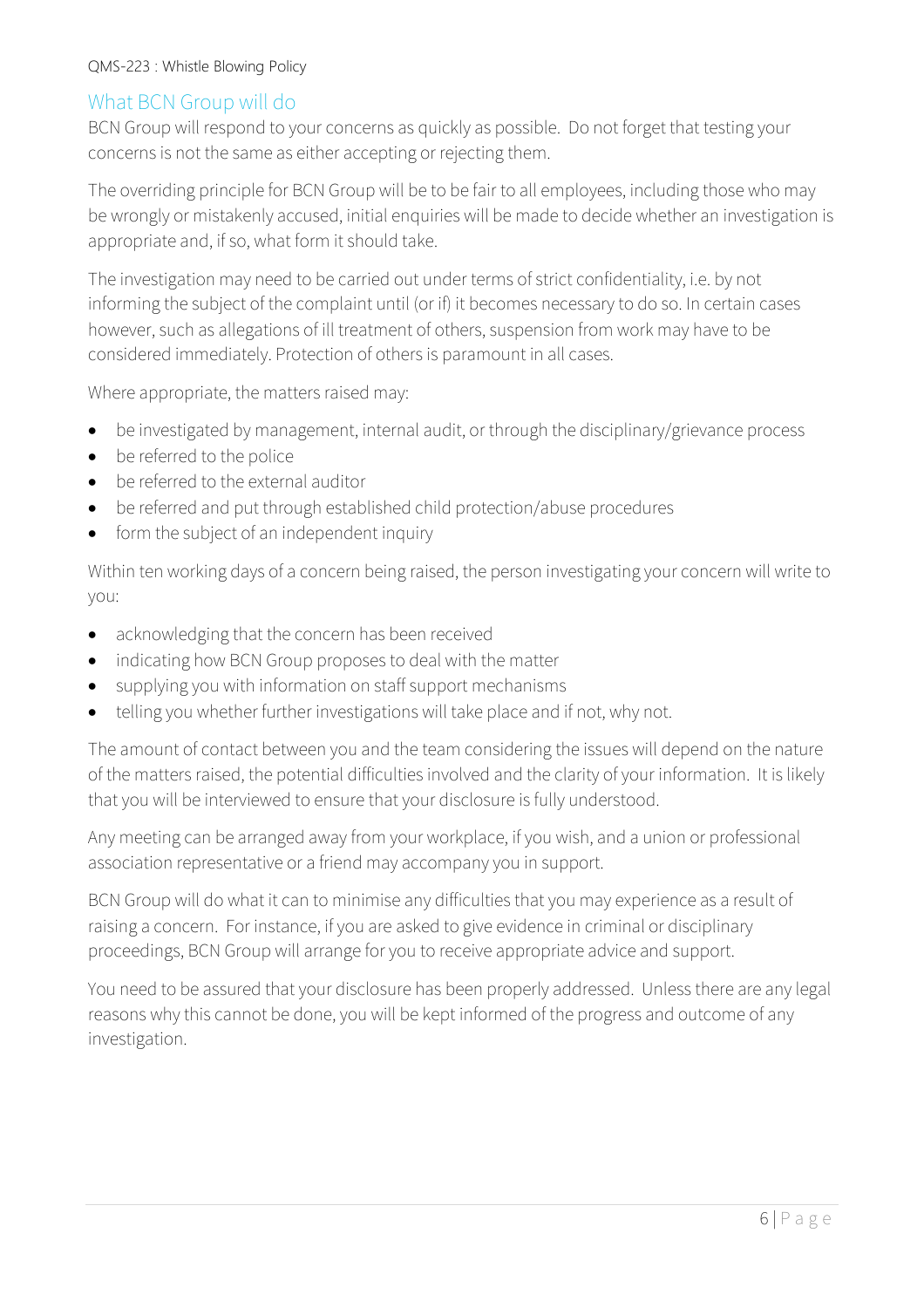### What BCN Group will do

BCN Group will respond to your concerns as quickly as possible. Do not forget that testing your concerns is not the same as either accepting or rejecting them.

The overriding principle for BCN Group will be to be fair to all employees, including those who may be wrongly or mistakenly accused, initial enquiries will be made to decide whether an investigation is appropriate and, if so, what form it should take.

The investigation may need to be carried out under terms of strict confidentiality, i.e. by not informing the subject of the complaint until (or if) it becomes necessary to do so. In certain cases however, such as allegations of ill treatment of others, suspension from work may have to be considered immediately. Protection of others is paramount in all cases.

Where appropriate, the matters raised may:

- be investigated by management, internal audit, or through the disciplinary/grievance process
- be referred to the police
- be referred to the external auditor
- be referred and put through established child protection/abuse procedures
- form the subject of an independent inquiry

Within ten working days of a concern being raised, the person investigating your concern will write to you:

- acknowledging that the concern has been received
- indicating how BCN Group proposes to deal with the matter
- supplying you with information on staff support mechanisms
- telling you whether further investigations will take place and if not, why not.

The amount of contact between you and the team considering the issues will depend on the nature of the matters raised, the potential difficulties involved and the clarity of your information. It is likely that you will be interviewed to ensure that your disclosure is fully understood.

Any meeting can be arranged away from your workplace, if you wish, and a union or professional association representative or a friend may accompany you in support.

BCN Group will do what it can to minimise any difficulties that you may experience as a result of raising a concern. For instance, if you are asked to give evidence in criminal or disciplinary proceedings, BCN Group will arrange for you to receive appropriate advice and support.

You need to be assured that your disclosure has been properly addressed. Unless there are any legal reasons why this cannot be done, you will be kept informed of the progress and outcome of any investigation.